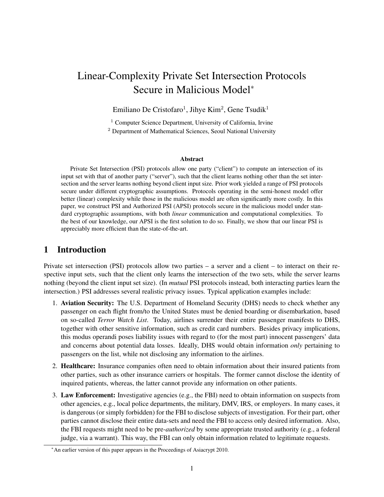# Linear-Complexity Private Set Intersection Protocols Secure in Malicious Model<sup>∗</sup>

Emiliano De Cristofaro<sup>1</sup>, Jihye Kim<sup>2</sup>, Gene Tsudik<sup>1</sup>

<sup>1</sup> Computer Science Department, University of California, Irvine <sup>2</sup> Department of Mathematical Sciences, Seoul National University

#### Abstract

Private Set Intersection (PSI) protocols allow one party ("client") to compute an intersection of its input set with that of another party ("server"), such that the client learns nothing other than the set intersection and the server learns nothing beyond client input size. Prior work yielded a range of PSI protocols secure under different cryptographic assumptions. Protocols operating in the semi-honest model offer better (linear) complexity while those in the malicious model are often significantly more costly. In this paper, we construct PSI and Authorized PSI (APSI) protocols secure in the malicious model under standard cryptographic assumptions, with both *linear* communication and computational complexities. To the best of our knowledge, our APSI is the first solution to do so. Finally, we show that our linear PSI is appreciably more efficient than the state-of-the-art.

# 1 Introduction

Private set intersection (PSI) protocols allow two parties – a server and a client – to interact on their respective input sets, such that the client only learns the intersection of the two sets, while the server learns nothing (beyond the client input set size). (In *mutual* PSI protocols instead, both interacting parties learn the intersection.) PSI addresses several realistic privacy issues. Typical application examples include:

- 1. Aviation Security: The U.S. Department of Homeland Security (DHS) needs to check whether any passenger on each flight from/to the United States must be denied boarding or disembarkation, based on so-called *Terror Watch List*. Today, airlines surrender their entire passenger manifests to DHS, together with other sensitive information, such as credit card numbers. Besides privacy implications, this modus operandi poses liability issues with regard to (for the most part) innocent passengers' data and concerns about potential data losses. Ideally, DHS would obtain information *only* pertaining to passengers on the list, while not disclosing any information to the airlines.
- 2. Healthcare: Insurance companies often need to obtain information about their insured patients from other parties, such as other insurance carriers or hospitals. The former cannot disclose the identity of inquired patients, whereas, the latter cannot provide any information on other patients.
- 3. Law Enforcement: Investigative agencies (e.g., the FBI) need to obtain information on suspects from other agencies, e.g., local police departments, the military, DMV, IRS, or employers. In many cases, it is dangerous (or simply forbidden) for the FBI to disclose subjects of investigation. For their part, other parties cannot disclose their entire data-sets and need the FBI to access only desired information. Also, the FBI requests might need to be pre-*authorized* by some appropriate trusted authority (e.g., a federal judge, via a warrant). This way, the FBI can only obtain information related to legitimate requests.

<sup>∗</sup>An earlier version of this paper appears in the Proceedings of Asiacrypt 2010.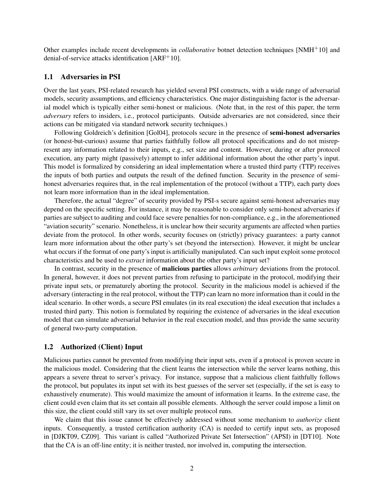Other examples include recent developments in *collaborative* botnet detection techniques [NMH+10] and denial-of-service attacks identification [ARF+10].

### 1.1 Adversaries in PSI

Over the last years, PSI-related research has yielded several PSI constructs, with a wide range of adversarial models, security assumptions, and efficiency characteristics. One major distinguishing factor is the adversarial model which is typically either semi-honest or malicious. (Note that, in the rest of this paper, the term *adversary* refers to insiders, i.e., protocol participants. Outside adversaries are not considered, since their actions can be mitigated via standard network security techniques.)

Following Goldreich's definition [Gol04], protocols secure in the presence of **semi-honest adversaries** (or honest-but-curious) assume that parties faithfully follow all protocol specifications and do not misrepresent any information related to their inputs, e.g., set size and content. However, during or after protocol execution, any party might (passively) attempt to infer additional information about the other party's input. This model is formalized by considering an ideal implementation where a trusted third party (TTP) receives the inputs of both parties and outputs the result of the defined function. Security in the presence of semihonest adversaries requires that, in the real implementation of the protocol (without a TTP), each party does not learn more information than in the ideal implementation.

Therefore, the actual "degree" of security provided by PSI-s secure against semi-honest adversaries may depend on the specific setting. For instance, it may be reasonable to consider only semi-honest adversaries if parties are subject to auditing and could face severe penalties for non-compliance, e.g., in the aforementioned "aviation security" scenario. Nonetheless, it is unclear how their security arguments are affected when parties deviate from the protocol. In other words, security focuses on (strictly) privacy guarantees: a party cannot learn more information about the other party's set (beyond the intersection). However, it might be unclear what occurs if the format of one party's input is artificially manipulated. Can such input exploit some protocol characteristics and be used to *extract* information about the other party's input set?

In contrast, security in the presence of malicious parties allows *arbitrary* deviations from the protocol. In general, however, it does not prevent parties from refusing to participate in the protocol, modifying their private input sets, or prematurely aborting the protocol. Security in the malicious model is achieved if the adversary (interacting in the real protocol, without the TTP) can learn no more information than it could in the ideal scenario. In other words, a secure PSI emulates (in its real execution) the ideal execution that includes a trusted third party. This notion is formulated by requiring the existence of adversaries in the ideal execution model that can simulate adversarial behavior in the real execution model, and thus provide the same security of general two-party computation.

#### 1.2 Authorized (Client) Input

Malicious parties cannot be prevented from modifying their input sets, even if a protocol is proven secure in the malicious model. Considering that the client learns the intersection while the server learns nothing, this appears a severe threat to server's privacy. For instance, suppose that a malicious client faithfully follows the protocol, but populates its input set with its best guesses of the server set (especially, if the set is easy to exhaustively enumerate). This would maximize the amount of information it learns. In the extreme case, the client could even claim that its set contain all possible elements. Although the server could impose a limit on this size, the client could still vary its set over multiple protocol runs.

We claim that this issue cannot be effectively addressed without some mechanism to *authorize* client inputs. Consequently, a trusted certification authority (CA) is needed to certify input sets, as proposed in [DJKT09, CZ09]. This variant is called "Authorized Private Set Intersection" (APSI) in [DT10]. Note that the CA is an off-line entity; it is neither trusted, nor involved in, computing the intersection.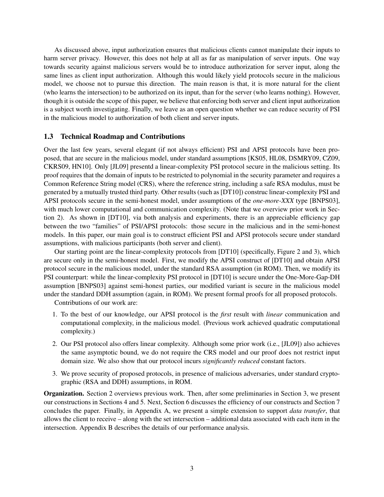As discussed above, input authorization ensures that malicious clients cannot manipulate their inputs to harm server privacy. However, this does not help at all as far as manipulation of server inputs. One way towards security against malicious servers would be to introduce authorization for server input, along the same lines as client input authorization. Although this would likely yield protocols secure in the malicious model, we choose not to pursue this direction. The main reason is that, it is more natural for the client (who learns the intersection) to be authorized on its input, than for the server (who learns nothing). However, though it is outside the scope of this paper, we believe that enforcing both server and client input authorization is a subject worth investigating. Finally, we leave as an open question whether we can reduce security of PSI in the malicious model to authorization of both client and server inputs.

#### 1.3 Technical Roadmap and Contributions

Over the last few years, several elegant (if not always efficient) PSI and APSI protocols have been proposed, that are secure in the malicious model, under standard assumptions [KS05, HL08, DSMRY09, CZ09, CKRS09, HN10]. Only [JL09] presentd a linear-complexity PSI protocol secure in the malicious setting. Its proof requires that the domain of inputs to be restricted to polynomial in the security parameter and requires a Common Reference String model (CRS), where the reference string, including a safe RSA modulus, must be generated by a mutually trusted third party. Other results (such as [DT10]) construc linear-complexity PSI and APSI protocols secure in the semi-honest model, under assumptions of the *one-more-XXX* type [BNPS03], with much lower computational and communication complexity. (Note that we overview prior work in Section 2). As shown in [DT10], via both analysis and experiments, there is an appreciable efficiency gap between the two "families" of PSI/APSI protocols: those secure in the malicious and in the semi-honest models. In this paper, our main goal is to construct efficient PSI and APSI protocols secure under standard assumptions, with malicious participants (both server and client).

Our starting point are the linear-complexity protocols from [DT10] (specifically, Figure 2 and 3), which are secure only in the semi-honest model. First, we modify the APSI construct of [DT10] and obtain APSI protocol secure in the malicious model, under the standard RSA assumption (in ROM). Then, we modify its PSI counterpart: while the linear-complexity PSI protocol in [DT10] is secure under the One-More-Gap-DH assumption [BNPS03] against semi-honest parties, our modified variant is secure in the malicious model under the standard DDH assumption (again, in ROM). We present formal proofs for all proposed protocols.

Contributions of our work are:

- 1. To the best of our knowledge, our APSI protocol is the *first* result with *linear* communication and computational complexity, in the malicious model. (Previous work achieved quadratic computational complexity.)
- 2. Our PSI protocol also offers linear complexity. Although some prior work (i.e., [JL09]) also achieves the same asymptotic bound, we do not require the CRS model and our proof does not restrict input domain size. We also show that our protocol incurs *significantly reduced* constant factors.
- 3. We prove security of proposed protocols, in presence of malicious adversaries, under standard cryptographic (RSA and DDH) assumptions, in ROM.

Organization. Section 2 overviews previous work. Then, after some preliminaries in Section 3, we present our constructions in Sections 4 and 5. Next, Section 6 discusses the efficiency of our constructs and Section 7 concludes the paper. Finally, in Appendix A, we present a simple extension to support *data transfer*, that allows the client to receive – along with the set intersection – additional data associated with each item in the intersection. Appendix B describes the details of our performance analysis.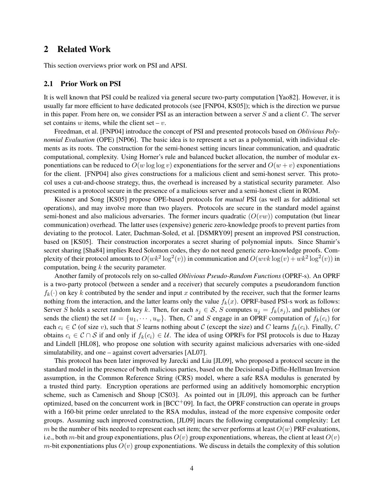## 2 Related Work

This section overviews prior work on PSI and APSI.

#### 2.1 Prior Work on PSI

It is well known that PSI could be realized via general secure two-party computation [Yao82]. However, it is usually far more efficient to have dedicated protocols (see [FNP04, KS05]); which is the direction we pursue in this paper. From here on, we consider PSI as an interaction between a server  $S$  and a client  $C$ . The server set contains  $w$  items, while the client set –  $v$ .

Freedman, et al. [FNP04] introduce the concept of PSI and presented protocols based on *Oblivious Polynomial Evaluation* (OPE) [NP06]. The basic idea is to represent a set as a polynomial, with individual elements as its roots. The construction for the semi-honest setting incurs linear communication, and quadratic computational, complexity. Using Horner's rule and balanced bucket allocation, the number of modular exponentiations can be reduced to  $O(w \log \log v)$  exponentiations for the server and  $O(w + v)$  exponentiations for the client. [FNP04] also gives constructions for a malicious client and semi-honest server. This protocol uses a cut-and-choose strategy, thus, the overhead is increased by a statistical security parameter. Also presented is a protocol secure in the presence of a malicious server and a semi-honest client in ROM.

Kissner and Song [KS05] propose OPE-based protocols for *mutual* PSI (as well as for additional set operations), and may involve more than two players. Protocols are secure in the standard model against semi-honest and also malicious adversaries. The former incurs quadratic  $(O(vw))$  computation (but linear communication) overhead. The latter uses (expensive) generic zero-knowledge proofs to prevent parties from deviating to the protocol. Later, Dachman-Soled, et al. [DSMRY09] present an improved PSI construction, based on [KS05]. Their construction incorporates a secret sharing of polynomial inputs. Since Shamir's secret sharing [Sha84] implies Reed Solomon codes, they do not need generic zero-knowledge proofs. Complexity of their protocol amounts to  $O(wk^2 \log^2(v))$  in communication and  $O(wvk \log(v) + wk^2 \log^2(v))$  in computation, being  $k$  the security parameter.

Another family of protocols rely on so-called *Oblivious Pseudo-Random Functions* (OPRF-s). An OPRF is a two-party protocol (between a sender and a receiver) that securely computes a pseudorandom function  $f_k(\cdot)$  on key k contributed by the sender and input x contributed by the receiver, such that the former learns nothing from the interaction, and the latter learns only the value  $f_k(x)$ . OPRF-based PSI-s work as follows: Server S holds a secret random key k. Then, for each  $s_j \in S$ , S computes  $u_j = f_k(s_j)$ , and publishes (or sends the client) the set  $\mathcal{U} = \{u_1, \dots, u_w\}$ . Then, C and S engage in an OPRF computation of  $f_k(c_i)$  for each  $c_i \in \mathcal{C}$  (of size v), such that S learns nothing about C (except the size) and C learns  $f_k(c_i)$ . Finally, C obtains  $c_i \in \mathcal{C} \cap \mathcal{S}$  if and only if  $f_k(c_i) \in \mathcal{U}$ . The idea of using OPRFs for PSI protocols is due to Hazay and Lindell [HL08], who propose one solution with security against malicious adversaries with one-sided simulatability, and one – against covert adversaries [AL07].

This protocol has been later improved by Jarecki and Liu [JL09], who proposed a protocol secure in the standard model in the presence of both malicious parties, based on the Decisional q-Diffie-Hellman Inversion assumption, in the Common Reference String (CRS) model, where a safe RSA modulus is generated by a trusted third party. Encryption operations are performed using an additively homomorphic encryption scheme, such as Camenisch and Shoup [CS03]. As pointed out in [JL09], this approach can be further optimized, based on the concurrent work in  $[BCC^+09]$ . In fact, the OPRF construction can operate in groups with a 160-bit prime order unrelated to the RSA modulus, instead of the more expensive composite order groups. Assuming such improved construction, [JL09] incurs the following computational complexity: Let m be the number of bits needed to represent each set item; the server performs at least  $O(w)$  PRF evaluations, i.e., both m-bit and group exponentiations, plus  $O(v)$  group exponentiations, whereas, the client at least  $O(v)$ m-bit exponentiations plus  $O(v)$  group exponentiations. We discuss in details the complexity of this solution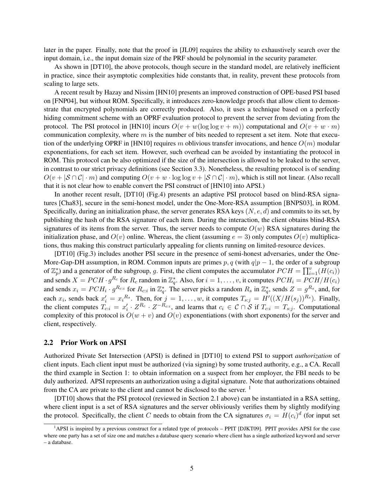later in the paper. Finally, note that the proof in [JL09] requires the ability to exhaustively search over the input domain, i.e., the input domain size of the PRF should be polynomial in the security parameter.

As shown in [DT10], the above protocols, though secure in the standard model, are relatively inefficient in practice, since their asymptotic complexities hide constants that, in reality, prevent these protocols from scaling to large sets.

A recent result by Hazay and Nissim [HN10] presents an improved construction of OPE-based PSI based on [FNP04], but without ROM. Specifically, it introduces zero-knowledge proofs that allow client to demonstrate that encrypted polynomials are correctly produced. Also, it uses a technique based on a perfectly hiding commitment scheme with an OPRF evaluation protocol to prevent the server from deviating from the protocol. The PSI protocol in [HN10] incurs  $O(v + w(\log \log v + m))$  computational and  $O(v + w \cdot m)$ communication complexity, where  $m$  is the number of bits needed to represent a set item. Note that execution of the underlying OPRF in [HN10] requires m oblivious transfer invocations, and hence  $O(m)$  modular exponentiations, for each set item. However, such overhead can be avoided by instantiating the protocol in ROM. This protocol can be also optimized if the size of the intersection is allowed to be leaked to the server, in contrast to our strict privacy definitions (see Section 3.3). Nonetheless, the resulting protocol is of sending  $O(v + |\mathcal{S} \cap \mathcal{C}| \cdot m)$  and computing  $O(v + w \cdot \log \log v + |\mathcal{S} \cap \mathcal{C}| \cdot m)$ , which is still not linear. (Also recall that it is not clear how to enable convert the PSI construct of [HN10] into APSI.)

In another recent result, [DT10] (Fig.4) presents an adaptive PSI protocol based on blind-RSA signatures [Cha83], secure in the semi-honest model, under the One-More-RSA assumption [BNPS03], in ROM. Specifically, during an initialization phase, the server generates RSA keys  $(N, e, d)$  and commits to its set, by publishing the hash of the RSA signature of each item. During the interaction, the client obtains blind-RSA signatures of its items from the server. Thus, the server needs to compute  $O(w)$  RSA signatures during the initialization phase, and  $O(v)$  online. Whereas, the client (assuming  $e = 3$ ) only computes  $O(v)$  multiplications, thus making this construct particularly appealing for clients running on limited-resource devices.

[DT10] (Fig.3) includes another PSI secure in the presence of semi-honest adversaries, under the One-More-Gap-DH assumption, in ROM. Common inputs are primes p, q (with  $q|p-1$ , the order of a subgroup of  $\mathbb{Z}_p^*$  and a generator of the subgroup, g. First, the client computes the accumulator  $PCH = \prod_{i=1}^v (H(c_i))$ and sends  $X = PCH \cdot g^{R_c}$  for  $R_c$  random in  $\mathbb{Z}_q^*$ . Also, for  $i = 1, \ldots, v$ , it computes  $PCH_i = PCH/H(c_i)$ and sends  $x_i = PCH_i \cdot g^{R_{c:i}}$  for  $R_{c:i}$  in  $\mathbb{Z}_q^*$ . The server picks a random  $R_s$  in  $\mathbb{Z}_q^*$ , sends  $Z = g^{R_s}$ , and, for each  $x_i$ , sends back  $x'_i = x_i^{R_s}$ . Then, for  $j = 1, ..., w$ , it computes  $T_{s:j} = H'((X/H(s_j))^{R_s})$ . Finally, the client computes  $T_{c:i} = x'_i \cdot Z^{R_c} \cdot Z^{-R_{c:i}}$ , and learns that  $c_i \in C \cap S$  if  $T_{c:i} = T_{s:j}$ . Computational complexity of this protocol is  $O(w + v)$  and  $O(v)$  exponentiations (with short exponents) for the server and client, respectively.

### 2.2 Prior Work on APSI

Authorized Private Set Intersection (APSI) is defined in [DT10] to extend PSI to support *authorization* of client inputs. Each client input must be authorized (via signing) by some trusted authority, e.g., a CA. Recall the third example in Section 1: to obtain information on a suspect from her employer, the FBI needs to be duly authorized. APSI represents an authorization using a digital signature. Note that authorizations obtained from the CA are private to the client and cannot be disclosed to the server.<sup>1</sup>

[DT10] shows that the PSI protocol (reviewed in Section 2.1 above) can be instantiated in a RSA setting, where client input is a set of RSA signatures and the server obliviously verifies them by slightly modifying the protocol. Specifically, the client C needs to obtain from the CA signatures  $\sigma_i = H(c_i)^d$  (for input set

 $<sup>1</sup>$ APSI is inspired by a previous construct for a related type of protocols – PPIT [DJKT09]. PPIT provides APSI for the case</sup> where one party has a set of size one and matches a database query scenario where client has a single authorized keyword and server – a database.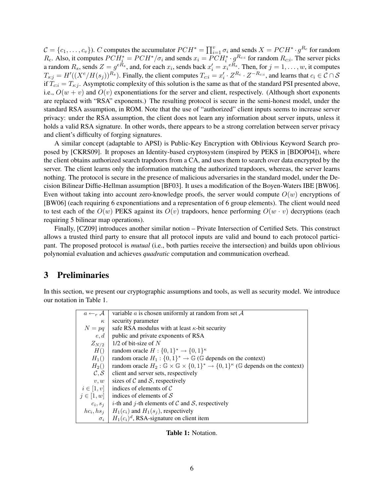$C = \{c_1, \ldots, c_v\}$ ). C computes the accumulator  $PCH^* = \prod_{i=1}^v \sigma_i$  and sends  $X = PCH^* \cdot g^{R_c}$  for random  $R_c$ . Also, it computes  $PCH^*_i = PCH^*/\sigma_i$  and sends  $x_i = PCH^*_i \cdot g^{R_{c:i}}$  for random  $R_{c:i}$ . The server picks a random  $R_s$ , sends  $Z = g^{eR_s}$ , and, for each  $x_i$ , sends back  $x'_i = x_i^{eR_s}$ . Then, for  $j = 1, \ldots, w$ , it computes  $T_{s:j} = H'((X^e/H(s_j))^{R_s})$ . Finally, the client computes  $T_{c:i} = x'_i \cdot Z^{R_c} \cdot Z^{-R_{c:i}}$ , and learns that  $c_i \in \mathcal{C} \cap \mathcal{S}$ if  $T_{c:i} = T_{s:j}$ . Asymptotic complexity of this solution is the same as that of the standard PSI presented above, i.e.,  $O(w + v)$  and  $O(v)$  exponentiations for the server and client, respectively. (Although short exponents are replaced with "RSA" exponents.) The resulting protocol is secure in the semi-honest model, under the standard RSA assumption, in ROM. Note that the use of "authorized" client inputs seems to increase server privacy: under the RSA assumption, the client does not learn any information about server inputs, unless it holds a valid RSA signature. In other words, there appears to be a strong correlation between server privacy and client's difficulty of forging signatures.

A similar concept (adaptable to APSI) is Public-Key Encryption with Oblivious Keyword Search proposed by [CKRS09]. It proposes an Identity-based cryptosystem (inspired by PEKS in [BDOP04]), where the client obtains authorized search trapdoors from a CA, and uses them to search over data encrypted by the server. The client learns only the information matching the authorized trapdoors, whereas, the server learns nothing. The protocol is secure in the presence of malicious adversaries in the standard model, under the Decision Bilinear Diffie-Hellman assumption [BF03]. It uses a modification of the Boyen-Waters IBE [BW06]. Even without taking into account zero-knowledge proofs, the server would compute  $O(w)$  encryptions of [BW06] (each requiring 6 exponentiations and a representation of 6 group elements). The client would need to test each of the  $O(w)$  PEKS against its  $O(v)$  trapdoors, hence performing  $O(w \cdot v)$  decryptions (each requiring 5 bilinear map operations).

Finally, [CZ09] introduces another similar notion – Private Intersection of Certified Sets. This construct allows a trusted third party to ensure that all protocol inputs are valid and bound to each protocol participant. The proposed protocol is *mutual* (i.e., both parties receive the intersection) and builds upon oblivious polynomial evaluation and achieves *quadratic* computation and communication overhead.

# 3 Preliminaries

In this section, we present our cryptographic assumptions and tools, as well as security model. We introduce our notation in Table 1.

| $a \leftarrow_r \mathcal{A}$ | variable a is chosen uniformly at random from set $A$                                                                             |
|------------------------------|-----------------------------------------------------------------------------------------------------------------------------------|
| $\kappa$                     | security parameter                                                                                                                |
| $N = pq$                     | safe RSA modulus with at least $\kappa$ -bit security                                                                             |
| e, d                         | public and private exponents of RSA                                                                                               |
| $Z_{N/2}$                    | 1/2 of bit-size of N                                                                                                              |
| H()                          | random oracle $H: \{0,1\}^* \rightarrow \{0,1\}^{\kappa}$                                                                         |
| $H_1()$                      | random oracle $H_1: \{0,1\}^* \to \mathbb{G}$ (G depends on the context)                                                          |
| $H_2()$                      | random oracle $H_2$ : $\mathbb{G} \times \mathbb{G} \times \{0,1\}^* \to \{0,1\}^{\kappa}$ ( $\mathbb{G}$ depends on the context) |
| $\mathcal{C}, \mathcal{S}$   | client and server sets, respectively                                                                                              |
| v, w                         | sizes of $C$ and $S$ , respectively                                                                                               |
| $i\in[1,v]$                  | indices of elements of $\mathcal C$                                                                                               |
|                              | $j \in [1, w]$   indices of elements of S                                                                                         |
| $c_i, s_i$                   | <i>i</i> -th and <i>j</i> -th elements of C and S, respectively                                                                   |
| $hc_i, hs_i$                 | $H_1(c_i)$ and $H_1(s_i)$ , respectively                                                                                          |
| $\sigma_i$                   | $H_1(c_i)^d$ , RSA-signature on client item                                                                                       |

Table 1: Notation.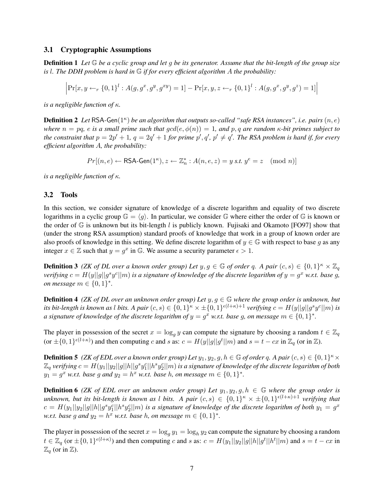#### 3.1 Cryptographic Assumptions

Definition 1 *Let* G *be a cyclic group and let* g *be its generator. Assume that the bit-length of the group size is* l*. The DDH problem is hard in* G *if for every efficient algorithm* A *the probability:*

 $\left|\Pr[x, y \leftarrow_r \{0, 1\}^l : A(g, g^x, g^y, g^{xy}) = 1] - \Pr[x, y, z \leftarrow_r \{0, 1\}^l : A(g, g^x, g^y, g^z) = 1]\right|$ 

*is a negligible function of* κ*.*

**Definition 2** Let  $\textsf{RSA-Gen}(1^{\kappa})$  be an algorithm that outputs so-called "safe RSA instances", i.e. pairs  $(n, e)$ *where*  $n = pq$ , *e is a small prime such that*  $gcd(e, \phi(n)) = 1$ , and  $p, q$  are random  $\kappa$ -bit primes subject to the constraint that  $p = 2p' + 1$ ,  $q = 2q' + 1$  for prime  $p', q', p' \neq q'$ . The RSA problem is hard if, for every *efficient algorithm* A*, the probability:*

 $Pr[(n, e) \leftarrow \textsf{RSA-Gen}(1^{\kappa}), z \leftarrow \mathbb{Z}_n^* : A(n, e, z) = y \text{ s.t. } y^e = z \pmod{n}$ 

*is a negligible function of* κ*.*

#### 3.2 Tools

In this section, we consider signature of knowledge of a discrete logarithm and equality of two discrete logarithms in a cyclic group  $\mathbb{G} = \langle q \rangle$ . In particular, we consider G where either the order of G is known or the order of  $\mathbb G$  is unknown but its bit-length l is publicly known. Fujisaki and Okamoto [FO97] show that (under the strong RSA assumption) standard proofs of knowledge that work in a group of known order are also proofs of knowledge in this setting. We define discrete logarithm of  $y \in \mathbb{G}$  with respect to base q as any integer  $x \in \mathbb{Z}$  such that  $y = g^x$  in G. We assume a security parameter  $\epsilon > 1$ .

**Definition 3** (ZK of DL over a known order group) Let  $y, g \in \mathbb{G}$  of order q. A pair  $(c, s) \in \{0, 1\}^{\kappa} \times \mathbb{Z}_q$ verifying  $c = H(y||g||g^sy^c||m)$  is a signature of knowledge of the discrete logarithm of  $y = g^x$  w.r.t. base g, *on message*  $m \in \{0, 1\}^*$ .

**Definition 4** *(ZK of DL over an unknown order group) Let*  $y, g \in \mathbb{G}$  *where the group order is unknown, but* its bit-length is known as l bits. A pair  $(c, s) \in \{0, 1\}^\kappa \times \pm \{0, 1\}^{\epsilon (l + \kappa) + 1}$  verifying  $c = H(y||g||g^sy^c||m)$  is *a* signature of knowledge of the discrete logarithm of  $y = g^x$  w.r.t. base g, on message  $m \in \{0,1\}^*$ .

The player in possession of the secret  $x = \log_q y$  can compute the signature by choosing a random  $t \in \mathbb{Z}_q$ (or  $\pm \{0,1\}^{\epsilon(l+\kappa)}$ ) and then computing c and s as:  $c = H(y||g||g^t||m)$  and  $s = t - cx$  in  $\mathbb{Z}_q$  (or in  $\mathbb{Z}$ ).

**Definition 5** (ZK of EDL over a known order group) Let  $y_1, y_2, g, h \in \mathbb{G}$  of order q. A pair  $(c, s) \in \{0, 1\}^{\kappa} \times$  $\mathbb{Z}_q$  verifying  $c=H(y_1||y_2||g||h||g^sy_1^c||h^sy_2^c||m)$  is a signature of knowledge of the discrete logarithm of both  $y_1 = g^x$  *w.r.t.* base g and  $y_2 = h^x$  *w.r.t.* base h, on message  $m \in \{0, 1\}^*$ .

**Definition 6** (ZK of EDL over an unknown order group) Let  $y_1, y_2, g, h \in \mathbb{G}$  where the group order is  $u$ nknown, but its bit-length is known as l bits. A pair  $(c, s) \in \{0, 1\}^\kappa \times \pm \{0, 1\}^{\epsilon(l+\kappa)+1}$  *verifying that*  $c = H(y_1||y_2||g||h||g^sy_1^c||h^sy_2^c||m)$  is a signature of knowledge of the discrete logarithm of both  $y_1 = g^x$ *w.r.t.* base g and  $y_2 = h^x$  w.r.t. base h, on message  $m \in \{0, 1\}^*$ .

The player in possession of the secret  $x = \log_a y_1 = \log_h y_2$  can compute the signature by choosing a random  $t \in \mathbb{Z}_q$  (or  $\pm\{0,1\}^{\epsilon(l+\kappa)}$ ) and then computing c and s as:  $c = H(y_1||y_2||g||h||g^t||h^t||m)$  and  $s = t - cx$  in  $\mathbb{Z}_q$  (or in  $\mathbb{Z}$ ).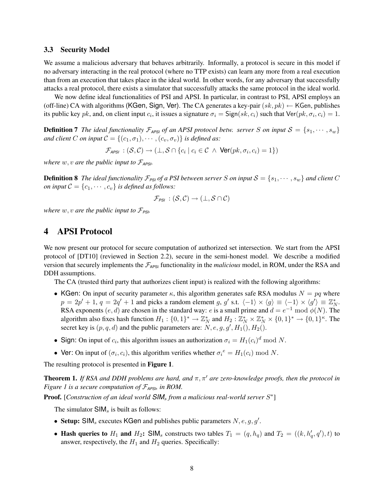#### 3.3 Security Model

We assume a malicious adversary that behaves arbitrarily. Informally, a protocol is secure in this model if no adversary interacting in the real protocol (where no TTP exists) can learn any more from a real execution than from an execution that takes place in the ideal world. In other words, for any adversary that successfully attacks a real protocol, there exists a simulator that successfully attacks the same protocol in the ideal world.

We now define ideal functionalities of PSI and APSI. In particular, in contrast to PSI, APSI employs an (off-line) CA with algorithms (KGen, Sign, Ver). The CA generates a key-pair  $(sk, pk) \leftarrow$  KGen, publishes its public key pk, and, on client input  $c_i$ , it issues a signature  $\sigma_i = \text{Sign}(sk, c_i)$  such that  $\text{Ver}(pk, \sigma_i, c_i) = 1$ .

**Definition 7** *The ideal functionality*  $\mathcal{F}_{\mathsf{APSJ}}$  *of an APSI protocol betw. server S on input*  $\mathcal{S} = \{s_1, \dots, s_w\}$ *and client* C *on input*  $C = \{(c_1, \sigma_1), \cdots, (c_v, \sigma_v)\}$  *is defined as:* 

$$
\mathcal{F}_{\mathsf{APS}l} : (\mathcal{S}, \mathcal{C}) \to (\perp, \mathcal{S} \cap \{c_i \mid c_i \in \mathcal{C} \ \wedge \ \mathsf{Ver}(pk, \sigma_i, c_i) = 1\})
$$

*where*  $w, v$  *are the public input to*  $\mathcal{F}_{APSI}$ *.* 

**Definition 8** *The ideal functionality*  $\mathcal{F}_{PSI}$  *of a PSI between server S on input*  $\mathcal{S} = \{s_1, \dots, s_w\}$  *and client C on input*  $C = \{c_1, \dots, c_v\}$  *is defined as follows:* 

$$
\mathcal{F}_{\textit{PSI}}:(\mathcal{S},\mathcal{C})\rightarrow (\bot,\mathcal{S}\cap\mathcal{C})
$$

*where*  $w, v$  *are the public input to*  $\mathcal{F}_{PSI}$ *.* 

# 4 APSI Protocol

We now present our protocol for secure computation of authorized set intersection. We start from the APSI protocol of [DT10] (reviewed in Section 2.2), secure in the semi-honest model. We describe a modified version that securely implements the  $\mathcal{F}_{APSI}$  functionality in the *malicious* model, in ROM, under the RSA and DDH assumptions.

The CA (trusted third party that authorizes client input) is realized with the following algorithms:

- KGen: On input of security parameter  $\kappa$ , this algorithm generates safe RSA modulus  $N = pq$  where  $p = 2p' + 1$ ,  $q = 2q' + 1$  and picks a random element g, g' s.t.  $\langle -1 \rangle \times \langle g \rangle \equiv \langle -1 \rangle \times \langle g' \rangle \equiv \mathbb{Z}_N^*$ . RSA exponents  $(e, d)$  are chosen in the standard way: e is a small prime and  $d = e^{-1} \bmod \phi(N)$ . The algorithm also fixes hash function  $H_1: \{0,1\}^* \to \mathbb{Z}_N^*$  and  $H_2: \mathbb{Z}_N^* \times \mathbb{Z}_N^* \times \{0,1\}^* \to \{0,1\}^{\kappa}$ . The secret key is  $(p, q, d)$  and the public parameters are:  $N, e, g, g', H_1(), H_2(),$
- Sign: On input of  $c_i$ , this algorithm issues an authorization  $\sigma_i = H_1(c_i)^d \mod N$ .
- Ver: On input of  $(\sigma_i, c_i)$ , this algorithm verifies whether  $\sigma_i^e = H_1(c_i) \text{ mod } N$ .

The resulting protocol is presented in **Figure 1**.

**Theorem 1.** *If RSA and DDH problems are hard, and*  $\pi$ ,  $\pi'$  *are zero-knowledge proofs, then the protocol in Figure 1 is a secure computation of*  $\mathcal{F}_{APS}$ *, in ROM.* 

**Proof.** [Construction of an ideal world **SIM**<sub>s</sub> from a malicious real-world server S\*]

The simulator  $\text{SIM}_s$  is built as follows:

- Setup: SIM<sub>s</sub> executes KGen and publishes public parameters  $N, e, g, g'$ .
- Hash queries to  $H_1$  and  $H_2$ : SIM<sub>s</sub> constructs two tables  $T_1 = (q, h_q)$  and  $T_2 = ((k, h'_q, q'), t)$  to answer, respectively, the  $H_1$  and  $H_2$  queries. Specifically: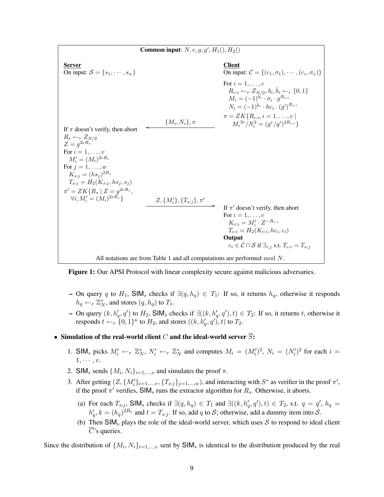

Figure 1: Our APSI Protocol with linear complexity secure against malicious adversaries.

- On query q to H<sub>1</sub>, SIM<sub>s</sub> checks if  $\exists (q, h_q) \in T_1$ : If so, it returns  $h_q$ , otherwise it responds  $h_q \leftarrow_r \mathbb{Z}_N^*$ , and stores  $(q, h_q)$  to  $T_1$ .
- − On query  $(k, h'_q, q')$  to  $H_2$ , SIM<sub>s</sub> checks if  $\exists ((k, h'_q, q'), t) \in T_2$ : If so, it returns t, otherwise it responds  $t \leftarrow_r \{0,1\}^{\kappa}$  to  $H_2$ , and stores  $((k, h'_q, q'), t)$  to  $T_2$ .
- Simulation of the real-world client C and the ideal-world server  $\overline{S}$ :
	- 1. SIM<sub>s</sub> picks  $M'_i \leftarrow_r \mathbb{Z}_N^*$ ,  $N'_i \leftarrow_r \mathbb{Z}_N^*$  and computes  $M_i = (M'_i)^2$ ,  $N_i = (N'_i)^2$  for each  $i =$  $1, \cdots, v.$
	- 2. SIM<sub>s</sub> sends  $\{M_i, N_i\}_{i=1,\dots,v}$  and simulates the proof  $\pi$ .
	- 3. After getting  $(Z, \{M'_i\}_{i=1,\dots,v}, \{T_{s:j}\}_{j=1,\dots,w})$ , and interacting with  $S^*$  as verifier in the proof  $\pi'$ , if the proof  $\pi'$  verifies, SIM<sub>s</sub> runs the extractor algorithm for  $R_s$ . Otherwise, it aborts.
		- (a) For each  $T_{s:j}$ , SIM<sub>s</sub> checks if  $\exists (q, h_q) \in T_1$  and  $\exists ((k, h'_q, q'), t) \in T_2$ , s.t.  $q = q'$ ,  $h_q =$  $h'_q$ ,  $k = (h_q)^{2R_s}$  and  $t = T_{s:j}$ . If so, add q to S; otherwise, add a dummy item into S.
		- (b) Then  $\text{SIM}_s$  plays the role of the ideal-world server, which uses S to respond to ideal client  $\overline{C}$ 's queries.

Since the distribution of  $\{M_i, N_i\}_{i=1,\dots,v}$  sent by SIM<sub>s</sub> is identical to the distribution produced by the real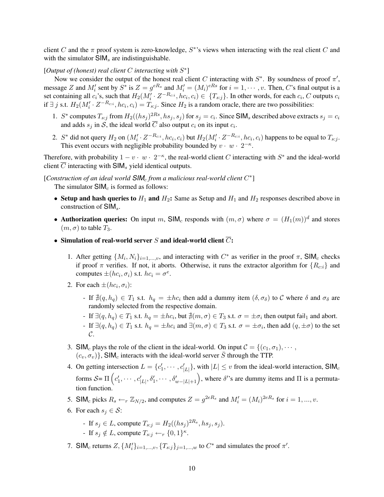client C and the  $\pi$  proof system is zero-knowledge,  $S^*$ 's views when interacting with the real client C and with the simulator  $\text{SIM}_s$  are indistinguishable.

### [*Output of (honest) real client* C *interacting with* S ∗ ]

Now we consider the output of the honest real client C interacting with  $S^*$ . By soundness of proof  $\pi'$ , message Z and  $M'_i$  sent by  $S^*$  is  $Z = g^{eR_s}$  and  $M'_i = (M_i)^{eRs}$  for  $i = 1, \dots, v$ . Then, C's final output is a set containing all  $c_i$ 's, such that  $H_2(M_i' \cdot Z^{-R_{ci}}, h c_i, c_i) \in \{T_{s:j}\}$ . In other words, for each  $c_i$ , C outputs  $c_i$ if  $\exists j$  s.t.  $H_2(M'_i \cdot Z^{-R_{ci}}, h c_i, c_i) = T_{s:j}$ . Since  $H_2$  is a random oracle, there are two possibilities:

- 1.  $S^*$  computes  $T_{s,j}$  from  $H_2((hs_j)^{2Rs}, hs_j, s_j)$  for  $s_j = c_i$ . Since SIM<sub>s</sub> described above extracts  $s_j = c_i$ and adds  $s_j$  in S, the ideal world C also output  $c_i$  on its input  $c_i$ .
- 2.  $S^*$  did not query  $H_2$  on  $(M_i' \cdot Z^{-R_{ci}}, h c_i, c_i)$  but  $H_2(M_i' \cdot Z^{-R_{ci}}, h c_i, c_i)$  happens to be equal to  $T_{s:j}$ . This event occurs with negligible probability bounded by  $v \cdot w \cdot 2^{-\kappa}$ .

Therefore, with probability  $1 - v \cdot w \cdot 2^{-\kappa}$ , the real-world client C interacting with  $S^*$  and the ideal-world client  $\overline{C}$  interacting with SIM<sub>s</sub> yield identical outputs.

# [Construction of an ideal world SIM<sub>c</sub> from a malicious real-world client C<sup>\*</sup>]

The simulator  $\mathsf{SIM}_c$  is formed as follows:

- Setup and hash queries to  $H_1$  and  $H_2$ : Same as Setup and  $H_1$  and  $H_2$  responses described above in construction of  $\mathsf{SIM}_s$ .
- Authorization queries: On input m, SIM<sub>c</sub> responds with  $(m, \sigma)$  where  $\sigma = (H_1(m))^d$  and stores  $(m, \sigma)$  to table  $T_3$ .
- Simulation of real-world server  $S$  and ideal-world client  $C$ :
	- 1. After getting  $\{M_i, N_i\}_{i=1,\dots,v}$ , and interacting with  $C^*$  as verifier in the proof  $\pi$ , SIM<sub>c</sub> checks if proof  $\pi$  verifies. If not, it aborts. Otherwise, it runs the extractor algorithm for  $\{R_{c,i}\}\$  and computes  $\pm(hc_i, \sigma_i)$  s.t.  $hc_i = \sigma^e$ .
	- 2. For each  $\pm(hc_i, \sigma_i)$ :
		- If  $\#(q, h_q) \in T_1$  s.t.  $h_q = \pm h c_i$  then add a dummy item  $(\delta, \sigma_\delta)$  to C where  $\delta$  and  $\sigma_\delta$  are randomly selected from the respective domain.
		- If  $\exists (q, h_q) \in T_1$  s.t.  $h_q = \pm h c_i$ , but  $\sharp(m, \sigma) \in T_3$  s.t.  $\sigma = \pm \sigma_i$  then output fail<sub>1</sub> and abort.
		- If  $\exists (q, h_q) \in T_1$  s.t.  $h_q = \pm h c_i$  and  $\exists (m, \sigma) \in T_3$  s.t.  $\sigma = \pm \sigma_i$ , then add  $(q, \pm \sigma)$  to the set  $\mathcal{C}.$
	- 3. SIM<sub>c</sub> plays the role of the client in the ideal-world. On input  $C = \{(c_1, \sigma_1), \cdots,$  $(c_v, \sigma_v)$ , SIM<sub>c</sub> interacts with the ideal-world server  $\overline{S}$  through the TTP.
	- 4. On getting intersection  $L = \{c'_1, \dots, c'_{|L|}\}$ , with  $|L| \le v$  from the ideal-world interaction, SIM<sub>c</sub> forms  $S = \Pi \left( c'_1, \cdots, c'_{|L|}, \delta'_1, \cdots, \delta'_{w-|L|+1} \right)$ , where  $\delta'$ 's are dummy items and  $\Pi$  is a permutation function.
	- 5. SIM<sub>c</sub> picks  $R_s \leftarrow_r \mathbb{Z}_{N/2}$ , and computes  $Z = g^{2eR_s}$  and  $M'_i = (M_i)^{2eR_s}$  for  $i = 1, ..., v$ .
	- 6. For each  $s_i \in \mathcal{S}$ :
		- If  $s_j \in L$ , compute  $T_{s:j} = H_2((hs_j)^{2R_s}, hs_j, s_j)$ .
		- If  $s_j \notin L$ , compute  $T_{s:j} \leftarrow_r \{0,1\}^{\kappa}$ .
	- 7. SIM<sub>c</sub> returns  $Z, \{M'_i\}_{i=1,\dots,v}, \{T_{s:j}\}_{j=1,\dots,w}$  to  $C^*$  and simulates the proof  $\pi'$ .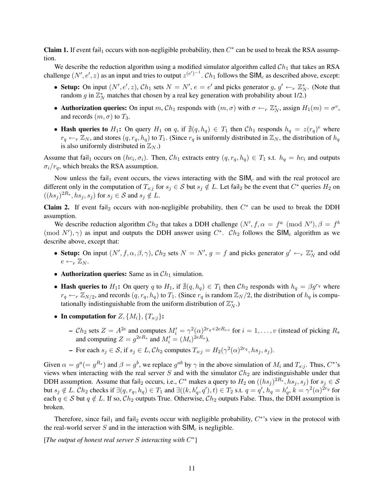Claim 1. If event fail<sub>1</sub> occurs with non-negligible probability, then  $C^*$  can be used to break the RSA assumption.

We describe the reduction algorithm using a modified simulator algorithm called  $Ch<sub>1</sub>$  that takes an RSA challenge  $(N', e', z)$  as an input and tries to output  $z^{(e')}$ <sup>-1</sup>. Ch<sub>1</sub> follows the SIM<sub>c</sub> as described above, except:

- Setup: On input  $(N', e', z)$ ,  $Ch_1$  sets  $N = N'$ ,  $e = e'$  and picks generator  $g, g' \leftarrow r \mathbb{Z}_N^*$ . (Note that random g in  $\mathbb{Z}_N^*$  matches that chosen by a real key generation with probability about 1/2.)
- Authorization queries: On input m,  $Ch_1$  responds with  $(m, \sigma)$  with  $\sigma \leftarrow_r \mathbb{Z}_N^*$ , assign  $H_1(m) = \sigma^e$ , and records  $(m, \sigma)$  to  $T_3$ .
- Hash queries to  $H_1$ : On query  $H_1$  on q, if  $\exists (q, h_q) \in T_1$  then  $Ch_1$  responds  $h_q = z(r_q)^e$  where  $r_q \leftarrow_r \mathbb{Z}_N$ , and stores  $(q, r_q, h_q)$  to  $T_1$ . (Since  $r_q$  is uniformly distributed in  $\mathbb{Z}_N$ , the distribution of  $h_q$ is also uniformly distributed in  $\mathbb{Z}_N$ .)

Assume that fail<sub>1</sub> occurs on  $(hc_i, \sigma_i)$ . Then,  $Ch_1$  extracts entry  $(q, r_q, h_q) \in T_1$  s.t.  $h_q = hc_i$  and outputs  $\sigma_i/r_a$ , which breaks the RSA assumption.

Now unless the fail<sub>1</sub> event occurs, the views interacting with the  $\text{SIM}_c$  and with the real protocol are different only in the computation of  $T_{s:j}$  for  $s_j \in S$  but  $s_j \notin L$ . Let fail<sub>2</sub> be the event that  $C^*$  queries  $H_2$  on  $((hs_j)^{2R_s},hs_j,s_j)$  for  $s_j \in S$  and  $s_j \notin L$ .

Claim 2. If event fail<sub>2</sub> occurs with non-negligible probability, then  $C^*$  can be used to break the DDH assumption.

We describe reduction algorithm  $Ch_2$  that takes a DDH challenge  $(N', f, \alpha = f^a \pmod{N'}, \beta = f^b$ (mod  $N'$ ),  $\gamma$ ) as input and outputs the DDH answer using  $C^*$ .  $Ch_2$  follows the SIM<sub>c</sub> algorithm as we describe above, except that:

- Setup: On input  $(N', f, \alpha, \beta, \gamma)$ ,  $Ch_2$  sets  $N = N'$ ,  $g = f$  and picks generator  $g' \leftarrow_r \mathbb{Z}_N^*$  and odd  $e \leftarrow_r \mathbb{Z}_N$ .
- Authorization queries: Same as in  $Ch_1$  simulation.
- Hash queries to  $H_1$ : On query q to  $H_1$ , if  $\forall q, h_q \in T_1$  then  $Ch_2$  responds with  $h_q = \beta g^{r_q}$  where  $r_q \leftarrow_r \mathbb{Z}_{N/2}$ , and records  $(q, r_q, h_q)$  to  $T_1$ . (Since  $r_q$  is random  $\mathbb{Z}_N/2$ , the distribution of  $h_q$  is computationally indistinguishable from the uniform distribution of  $\mathbb{Z}_N^*$ .)
- In computation for  $Z, \{M_i\}, \{T_{s:j}\}\$ :
	- $Ch_2$  sets  $Z = A^{2e}$  and computes  $M'_i = \gamma^2(\alpha)^{2r_q + 2eR_{c:i}}$  for  $i = 1, ..., v$  (instead of picking  $R_s$ and computing  $Z = g^{2eR_s}$  and  $M'_i = (M_i)^{2eR_s}$ ).
	- For each  $s_j \in \mathcal{S}$ , if  $s_j \in L$ ,  $\mathcal{C}h_2$  computes  $T_{s:j} = H_2(\gamma^2(\alpha)^{2r_q}, h s_j, s_j)$ .

Given  $\alpha = g^a = g^{R_s}$ ) and  $\beta = g^b$ , we replace  $g^{ab}$  by  $\gamma$  in the above simulation of  $M_i$  and  $T_{s:j}$ . Thus,  $C^{*s}$ s views when interacting with the real server  $S$  and with the simulator  $Ch<sub>2</sub>$  are indistinguishable under that DDH assumption. Assume that fail<sub>2</sub> occurs, i.e.,  $C^*$  makes a query to  $H_2$  on  $((hs_j)^{2R_s}, hs_j, s_j)$  for  $s_j \in S$ but  $s_j \notin L$ . Ch<sub>2</sub> checks if  $\exists (q, r_q, h_q) \in T_1$  and  $\exists ((k, h'_q, q'), t) \in T_2$  s.t.  $q = q'$ ,  $h_q = h'_q$ ,  $k = \gamma^2(\alpha)^{2r_q}$  for each  $q \in S$  but  $q \notin L$ . If so,  $Ch_2$  outputs True. Otherwise,  $Ch_2$  outputs False. Thus, the DDH assumption is broken.

Therefore, since fail<sub>1</sub> and fail<sub>2</sub> events occur with negligible probability,  $C^*$ 's view in the protocol with the real-world server  $S$  and in the interaction with  $\text{SIM}_c$  is negligible.

[*The output of honest real server* S *interacting with* C ∗ ]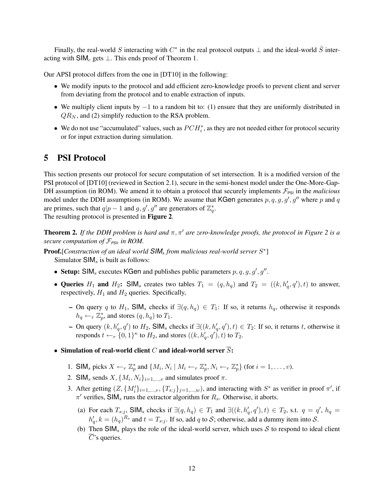Finally, the real-world S interacting with  $C^*$  in the real protocol outputs  $\perp$  and the ideal-world  $\bar{S}$  interacting with  $\mathsf{SIM}_c$  gets  $\bot$ . This ends proof of Theorem 1.

Our APSI protocol differs from the one in [DT10] in the following:

- We modify inputs to the protocol and add efficient zero-knowledge proofs to prevent client and server from deviating from the protocol and to enable extraction of inputs.
- We multiply client inputs by  $-1$  to a random bit to: (1) ensure that they are uniformly distributed in  $QR_N$ , and (2) simplify reduction to the RSA problem.
- We do not use "accumulated" values, such as  $PCH_i^*$ , as they are not needed either for protocol security or for input extraction during simulation.

# 5 PSI Protocol

This section presents our protocol for secure computation of set intersection. It is a modified version of the PSI protocol of [DT10] (reviewed in Section 2.1), secure in the semi-honest model under the One-More-Gap-DH assumption (in ROM). We amend it to obtain a protocol that securely implements  $\mathcal{F}_{PSI}$  in the *malicious* model under the DDH assumptions (in ROM). We assume that KGen generates  $p, q, g, g', g''$  where p and q are primes, such that  $q|p-1$  and  $g, g', g''$  are generators of  $\mathbb{Z}_q^*$ . The resulting protocol is presented in Figure 2.

**Theorem 2.** *If the DDH problem is hard and*  $\pi, \pi'$  *are zero-knowledge proofs, the protocol in Figure 2 is a secure computation of*  $\mathcal{F}_{PSI}$ *, in ROM.* 

**Proof.**[Construction of an ideal world SIM<sub>s</sub> from malicious real-world server S<sup>\*</sup>] Simulator  $\textsf{SIM}_s$  is built as follows:

- Setup: SIM<sub>s</sub> executes KGen and publishes public parameters  $p, q, g, g', g''$ .
- Queries  $H_1$  and  $H_2$ : SIM<sub>s</sub> creates two tables  $T_1 = (q, h_q)$  and  $T_2 = ((k, h'_q, q'), t)$  to answer, respectively,  $H_1$  and  $H_2$  queries. Specifically,
	- On query q to H<sub>1</sub>, SIM<sub>s</sub> checks if  $\exists (q, h_q) \in T_1$ : If so, it returns  $h_q$ , otherwise it responds  $h_q \leftarrow_r \mathbb{Z}_p^*$ , and stores  $(q, h_q)$  to  $T_1$ .
	- − On query  $(k, h'_q, q')$  to  $H_2$ , SIM<sub>s</sub> checks if  $\exists ((k, h'_q, q'), t) \in T_2$ : If so, it returns t, otherwise it responds  $t \leftarrow_r \{0,1\}^{\kappa}$  to  $H_2$ , and stores  $((k, h'_q, q'), t)$  to  $T_2$ .

### • Simulation of real-world client C and ideal-world server  $\overline{S}$ :

- 1. SIM<sub>s</sub> picks  $X \leftarrow_r \mathbb{Z}_p^*$  and  $\{M_i, N_i \mid M_i \leftarrow_r \mathbb{Z}_p^*, N_i \leftarrow_r \mathbb{Z}_p^*\}$  (for  $i = 1, \ldots, v$ ).
- 2. SIM<sub>s</sub> sends  $X, \{M_i, N_i\}_{i=1,\dots,v}$  and simulates proof  $\pi$ .
- 3. After getting  $(Z, \{M_i'\}_{i=1,\dots,v}, \{T_{s:j}\}_{j=1,\dots,w})$ , and interacting with  $S^*$  as verifier in proof  $\pi'$ , if  $\pi'$  verifies, SIM<sub>s</sub> runs the extractor algorithm for  $R_s$ . Otherwise, it aborts.
	- (a) For each  $T_{s:j}$ , SIM<sub>s</sub> checks if  $\exists (q, h_q) \in T_1$  and  $\exists ((k, h'_q, q'), t) \in T_2$ , s.t.  $q = q'$ ,  $h_q =$  $h'_q$ ,  $k = (h_q)^{R_s}$  and  $t = T_{s:j}$ . If so, add q to S; otherwise, add a dummy item into S.
	- (b) Then  $\text{SIM}_s$  plays the role of the ideal-world server, which uses S to respond to ideal client C's queries.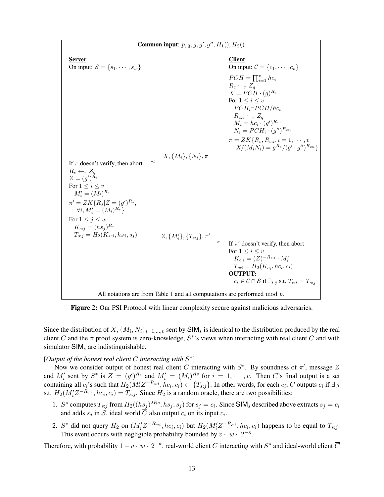

Figure 2: Our PSI Protocol with linear complexity secure against malicious adversaries.

Since the distribution of  $X, \{M_i, N_i\}_{i=1,\dots,v}$  sent by  $\textsf{SIM}_s$  is identical to the distribution produced by the real client C and the  $\pi$  proof system is zero-knowledge,  $S^*$ 's views when interacting with real client C and with simulator  $\textsf{SIM}_s$  are indistinguishable.

### [*Output of the honest real client* C *interacting with* S ∗ ]

Now we consider output of honest real client C interacting with  $S^*$ . By soundness of  $\pi'$ , message Z and  $M'_i$  sent by  $S^*$  is  $Z = (g')^{R_s}$  and  $M'_i = (M_i)^{R_s}$  for  $i = 1, \dots, v$ . Then C's final output is a set containing all  $c_i$ 's such that  $H_2(M'_i Z^{-R_{ci}}, h c_i, c_i) \in \{T_{s:j}\}\.$  In other words, for each  $c_i$ , C outputs  $c_i$  if  $\exists j$ s.t.  $H_2(M'_i Z^{-R_{ci}}$ ,  $hc_i, c_i) = T_{s:j}$ . Since  $H_2$  is a random oracle, there are two possibilities:

- 1.  $S^*$  computes  $T_{s,j}$  from  $H_2((hs_j)^{2Rs}, hs_j, s_j)$  for  $s_j = c_i$ . Since SIM<sub>s</sub> described above extracts  $s_j = c_i$ and adds  $s_j$  in S, ideal world  $\overline{C}$  also output  $c_i$  on its input  $c_i$ .
- 2.  $S^*$  did not query  $H_2$  on  $(M_i'Z^{-R_{ci}}, hc_i, c_i)$  but  $H_2(M_i'Z^{-R_{ci}}, hc_i, c_i)$  happens to be equal to  $T_{s:j}$ . This event occurs with negligible probability bounded by  $v \cdot w \cdot 2^{-\kappa}$ .

Therefore, with probability  $1 - v \cdot w \cdot 2^{-\kappa}$ , real-world client C interacting with  $S^*$  and ideal-world client  $\overline{C}$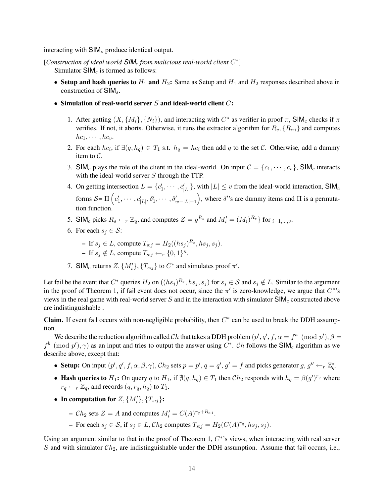interacting with SIM<sub>s</sub> produce identical output.

[Construction of ideal world SIM<sub>c</sub> from malicious real-world client  $C^*$ ]

- Simulator  $\mathsf{SIM}_c$  is formed as follows:
- Setup and hash queries to  $H_1$  and  $H_2$ : Same as Setup and  $H_1$  and  $H_2$  responses described above in construction of SIMs.
- Simulation of real-world server S and ideal-world client  $\overline{C}$ :
	- 1. After getting  $(X, \{M_i\}, \{N_i\})$ , and interacting with  $C^*$  as verifier in proof  $\pi$ , SIM<sub>c</sub> checks if  $\pi$ verifies. If not, it aborts. Otherwise, it runs the extractor algorithm for  $R_c$ ,  $\{R_{ci}\}$  and computes  $hc_1, \cdots, hc_v.$
	- 2. For each  $hc_i$ , if  $\exists (q, h_q) \in T_1$  s.t.  $h_q = hc_i$  then add q to the set C. Otherwise, add a dummy item to C.
	- 3. SIM<sub>c</sub> plays the role of the client in the ideal-world. On input  $C = \{c_1, \dots, c_v\}$ , SIM<sub>c</sub> interacts with the ideal-world server  $\overline{S}$  through the TTP.
	- 4. On getting intersection  $L = \{c'_1, \dots, c'_{|L|}\}$ , with  $|L| \le v$  from the ideal-world interaction, SIM<sub>c</sub> forms  $S = \Pi \left( c'_1, \dots, c'_{|L|}, \delta'_1, \dots, \delta'_{w-|L|+1} \right)$ , where  $\delta'$ 's are dummy items and  $\Pi$  is a permutation function.
	- 5. SIM<sub>c</sub> picks  $R_s \leftarrow_r \mathbb{Z}_q$ , and computes  $Z = g^{R_s}$  and  $M'_i = (M_i)^{R_s}$  for  $_{i=1,\dots,v}$ .
	- 6. For each  $s_i \in \mathcal{S}$ :
		- If  $s_j \in L$ , compute  $T_{s:j} = H_2((hs_j)^{R_s}, hs_j, s_j)$ .
		- If  $s_j \notin L$ , compute  $T_{s:j} \leftarrow_r \{0,1\}^{\kappa}$ .
	- 7. SIM<sub>c</sub> returns  $Z, \{M_i'\}, \{T_{s:j}\}\$  to  $C^*$  and simulates proof  $\pi'$ .

Let fail be the event that  $C^*$  queries  $H_2$  on  $((hs_j)^{R_s}, hs_j, s_j)$  for  $s_j \in S$  and  $s_j \notin L$ . Similar to the argument in the proof of Theorem 1, if fail event does not occur, since the  $\pi'$  is zero-knowledge, we argue that  $C^*$ 's views in the real game with real-world server S and in the interaction with simulator  $\text{SIM}_c$  constructed above are indistinguishable .

Claim. If event fail occurs with non-negligible probability, then  $C^*$  can be used to break the DDH assumption.

We describe the reduction algorithm called Ch that takes a DDH problem  $(p', q', f, \alpha = f^a \pmod{p'}, \beta =$  $f^b \pmod{p'}$ ,  $\gamma$  as an input and tries to output the answer using  $C^*$ . Ch follows the SIM<sub>c</sub> algorithm as we describe above, except that:

- Setup: On input  $(p', q', f, \alpha, \beta, \gamma)$ ,  $Ch_2$  sets  $p = p', q = q', g' = f$  and picks generator  $g, g'' \leftarrow_r \mathbb{Z}_q^*$ .
- Hash queries to  $H_1$ : On query q to  $H_1$ , if  $\sharp(q, h_q) \in T_1$  then  $\mathcal{C}h_2$  responds with  $h_q = \beta(g')^{r_q}$  where  $r_q \leftarrow_r \mathbb{Z}_q$ , and records  $(q, r_q, h_q)$  to  $T_1$ .
- In computation for  $Z, \{M_i'\}, \{T_{s:j}\}\$ :
	- $Ch_2$  sets  $Z = A$  and computes  $M_i' = C(A)^{r_q + R_{c:i}}$ .
	- For each  $s_j \in \mathcal{S}$ , if  $s_j \in L$ ,  $Ch_2$  computes  $T_{s:j} = H_2(C(A)^{r_q}, h s_j, s_j)$ .

Using an argument similar to that in the proof of Theorem 1,  $C^*$ 's views, when interacting with real server S and with simulator  $Ch_2$ , are indistinguishable under the DDH assumption. Assume that fail occurs, i.e.,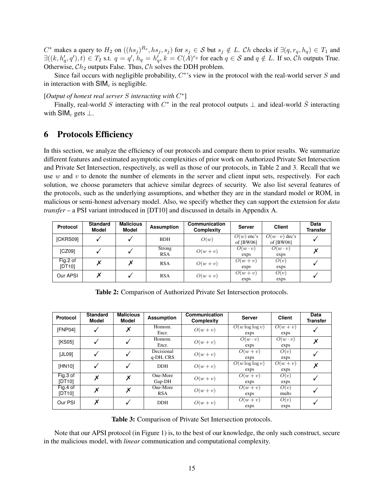$C^*$  makes a query to  $H_2$  on  $((hs_j)^{R_s}, hs_j, s_j)$  for  $s_j \in S$  but  $s_j \notin L$ . Ch checks if  $\exists (q, r_q, h_q) \in T_1$  and  $\exists ((k, h'_q, q'), t) \in T_2$  s.t.  $q = q', h_q = h'_q, k = C(A)^{r_q}$  for each  $q \in S$  and  $q \notin L$ . If so, Ch outputs True. Otherwise,  $Ch_2$  outputs False. Thus,  $Ch$  solves the DDH problem.

Since fail occurs with negligible probability,  $C^*$ 's view in the protocol with the real-world server  $S$  and in interaction with  $\text{SIM}_c$  is negligible.

[*Output of honest real server* S *interacting with* C ∗ ]

Finally, real-world S interacting with  $C^*$  in the real protocol outputs  $\perp$  and ideal-world  $\overline{S}$  interacting with  $\text{SIM}_c$  gets  $\perp$ .

### 6 Protocols Efficiency

In this section, we analyze the efficiency of our protocols and compare them to prior results. We summarize different features and estimated asymptotic complexities of prior work on Authorized Private Set Intersection and Private Set Intersection, respectively, as well as those of our protocols, in Table 2 and 3. Recall that we use w and v to denote the number of elements in the server and client input sets, respectively. For each solution, we choose parameters that achieve similar degrees of security. We also list several features of the protocols, such as the underlying assumptions, and whether they are in the standard model or ROM, in malicious or semi-honest adversary model. Also, we specify whether they can support the extension for *data transfer* – a PSI variant introduced in [DT10] and discussed in details in Appendix A.

| Protocol           | <b>Standard</b><br>Model | <b>Malicious</b><br>Model | <b>Assumption</b>    | Communication<br>Complexity | <b>Server</b>               | <b>Client</b>                       | Data<br><b>Transfer</b> |
|--------------------|--------------------------|---------------------------|----------------------|-----------------------------|-----------------------------|-------------------------------------|-------------------------|
| [CKRS09]           |                          |                           | <b>BDH</b>           | O(w)                        | $O(w)$ enc's<br>of $[BW06]$ | $O(w \cdot v)$ dec's<br>of $[BW06]$ |                         |
| [CZ09]             |                          |                           | Strong<br><b>RSA</b> | $O(w + v)$                  | $O(w \cdot v)$<br>exps      | $O(w \cdot v)$<br>exps              |                         |
| Fig.2 of<br>[DT10] | Х                        |                           | <b>RSA</b>           | $O(w + v)$                  | $O(w + v)$<br>exps          | O(v)<br>exps                        |                         |
| Our APSI           | X                        |                           | <b>RSA</b>           | $O(w + v)$                  | $O(w + v)$<br>exps          | O(v)<br>exps                        |                         |

Table 2: Comparison of Authorized Private Set Intersection protocols.

| Protocol           | <b>Standard</b><br>Model | <b>Malicious</b><br>Model | <b>Assumption</b>       | Communication<br>Complexity | <b>Server</b>                         | <b>Client</b>          | Data<br><b>Transfer</b> |
|--------------------|--------------------------|---------------------------|-------------------------|-----------------------------|---------------------------------------|------------------------|-------------------------|
| [FNP04]            | ✓                        | Х                         | Homom.<br>Encr.         | $O(w + v)$                  | $\overline{O}(w \log \log v)$<br>exps | $O(w + v)$<br>exps     | √                       |
| [KS05]             | ✓                        | ✓                         | Homom.<br>Encr.         | $O(w + v)$                  | $O(w \cdot v)$<br>exps                | $O(w \cdot v)$<br>exps | X                       |
| [JL09]             | ✓                        | ✓                         | Decisional<br>q-DH, CRS | $O(w + v)$                  | $O(w + v)$<br>exps                    | O(v)<br>exps           |                         |
| [HN10]             | ✓                        | ✓                         | <b>DDH</b>              | $O(w + v)$                  | $O(w \log \log v)$<br>exps            | $O(w + v)$<br>exps     | Х                       |
| Fig.3 of<br>[DT10] | X                        | X                         | One-More<br>Gap-DH      | $O(w + v)$                  | $O(w + v)$<br>exps                    | O(v)<br>exps           |                         |
| Fig.4 of<br>[DT10] | X                        | X                         | One-More<br><b>RSA</b>  | $O(w + v)$                  | $O(w + v)$<br>exps                    | O(v)<br>mults          |                         |
| Our PSI            | Х                        | ✓                         | <b>DDH</b>              | $O(w + v)$                  | $O(w + v)$<br>exps                    | O(v)<br>exps           |                         |

Table 3: Comparison of Private Set Intersection protocols.

Note that our APSI protocol (in Figure 1) is, to the best of our knowledge, the only such construct, secure in the malicious model, with *linear* communication and computational complexity.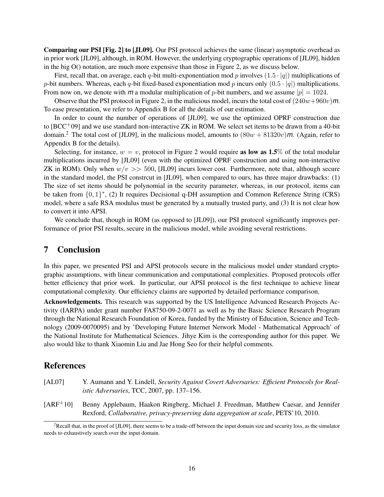Comparing our PSI [Fig. 2] to [JL09]. Our PSI protocol achieves the same (linear) asymptotic overhead as in prior work [JL09], although, in ROM. However, the underlying cryptographic operations of [JL09], hidden in the big  $O($ ) notation, are much more expensive than those in Figure 2, as we discuss below.

First, recall that, on average, each q-bit multi-exponentiation mod p involves  $(1.5 \cdot |q|)$  multiplications of p-bit numbers. Whereas, each q-bit fixed-based exponentiation mod p incurs only  $(0.5 \cdot |q|)$  multiplications. From now on, we denote with *m* a modular multiplication of *p*-bit numbers, and we assume  $|p| = 1024$ .

Observe that the PSI protocol in Figure 2, in the malicious model, incurs the total cost of  $(240w+960v)m$ . To ease presentation, we refer to Appendix B for all the details of our estimation.

In order to count the number of operations of [JL09], we use the optimized OPRF construction due to  $[BCC^+09]$  and we use standard non-interactive ZK in ROM. We select set items to be drawn from a 40-bit domain.<sup>2</sup> The total cost of [JL09], in the malicious model, amounts to  $(80w + 81320v)$ *m*. (Again, refer to Appendix B for the details).

Selecting, for instance,  $w = v$ , protocol in Figure 2 would require as low as 1.5% of the total modular multiplications incurred by [JL09] (even with the optimized OPRF construction and using non-interactive ZK in ROM). Only when  $w/v \gg$  500, [JL09] incurs lower cost. Furthermore, note that, although secure in the standard model, the PSI constrcut in [JL09], when compared to ours, has three major drawbacks: (1) The size of set items should be polynomial in the security parameter, whereas, in our protocol, items can be taken from  $\{0,1\}^*$ , (2) It requires Decisional q-DH assumption and Common Reference String (CRS) model, where a safe RSA modulus must be generated by a mutually trusted party, and (3) It is not clear how to convert it into APSI.

We conclude that, though in ROM (as opposed to [JL09]), our PSI protocol significantly improves performance of prior PSI results, secure in the malicious model, while avoiding several restrictions.

# 7 Conclusion

In this paper, we presented PSI and APSI protocols secure in the malicious model under standard cryptographic assumptions, with linear communication and computational complexities. Proposed protocols offer better efficiency that prior work. In particular, our APSI protocol is the first technique to achieve linear computational complexity. Our efficiency claims are supported by detailed performance comparison.

Acknowledgements. This research was supported by the US Intelligence Advanced Research Projects Activity (IARPA) under grant number FA8750-09-2-0071 as well as by the Basic Science Research Program through the National Research Foundation of Korea, funded by the Ministry of Education, Science and Technology (2009-0070095) and by 'Developing Future Internet Network Model - Mathematical Approach' of the National Institute for Mathematical Sciences. Jihye Kim is the corresponding author for this paper. We also would like to thank Xiaomin Liu and Jae Hong Seo for their helpful comments.

### References

| [AL07]               | Y. Aumann and Y. Lindell, Security Against Covert Adversaries: Efficient Protocols for Real-<br><i>istic Adversaries, TCC, 2007, pp. 137–156.</i>                           |
|----------------------|-----------------------------------------------------------------------------------------------------------------------------------------------------------------------------|
| $\mathsf{IARF}^+101$ | Benny Applebaum, Haakon Ringberg, Michael J. Freedman, Matthew Caesar, and Jennifer<br>Rexford, Collaborative, privacy-preserving data aggregation at scale, PETS'10, 2010. |

<sup>&</sup>lt;sup>2</sup>Recall that, in the proof of [JL09], there seems to be a trade-off between the input domain size and security loss, as the simulator needs to exhaustively search over the input domain.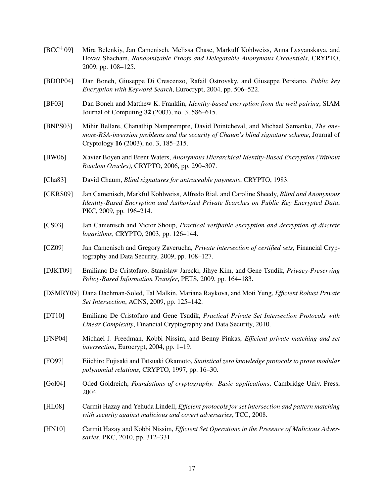- [BCC+09] Mira Belenkiy, Jan Camenisch, Melissa Chase, Markulf Kohlweiss, Anna Lysyanskaya, and Hovav Shacham, *Randomizable Proofs and Delegatable Anonymous Credentials*, CRYPTO, 2009, pp. 108–125.
- [BDOP04] Dan Boneh, Giuseppe Di Crescenzo, Rafail Ostrovsky, and Giuseppe Persiano, *Public key Encryption with Keyword Search*, Eurocrypt, 2004, pp. 506–522.
- [BF03] Dan Boneh and Matthew K. Franklin, *Identity-based encryption from the weil pairing*, SIAM Journal of Computing 32 (2003), no. 3, 586–615.
- [BNPS03] Mihir Bellare, Chanathip Namprempre, David Pointcheval, and Michael Semanko, *The onemore-RSA-inversion problems and the security of Chaum's blind signature scheme*, Journal of Cryptology 16 (2003), no. 3, 185–215.
- [BW06] Xavier Boyen and Brent Waters, *Anonymous Hierarchical Identity-Based Encryption (Without Random Oracles)*, CRYPTO, 2006, pp. 290–307.
- [Cha83] David Chaum, *Blind signatures for untraceable payments*, CRYPTO, 1983.
- [CKRS09] Jan Camenisch, Markful Kohlweiss, Alfredo Rial, and Caroline Sheedy, *Blind and Anonymous Identity-Based Encryption and Authorised Private Searches on Public Key Encrypted Data*, PKC, 2009, pp. 196–214.
- [CS03] Jan Camenisch and Victor Shoup, *Practical verifiable encryption and decryption of discrete logarithms*, CRYPTO, 2003, pp. 126–144.
- [CZ09] Jan Camenisch and Gregory Zaverucha, *Private intersection of certified sets*, Financial Cryptography and Data Security, 2009, pp. 108–127.
- [DJKT09] Emiliano De Cristofaro, Stanislaw Jarecki, Jihye Kim, and Gene Tsudik, *Privacy-Preserving Policy-Based Information Transfer*, PETS, 2009, pp. 164–183.
- [DSMRY09] Dana Dachman-Soled, Tal Malkin, Mariana Raykova, and Moti Yung, *Efficient Robust Private Set Intersection*, ACNS, 2009, pp. 125–142.
- [DT10] Emiliano De Cristofaro and Gene Tsudik, *Practical Private Set Intersection Protocols with Linear Complexity*, Financial Cryptography and Data Security, 2010.
- [FNP04] Michael J. Freedman, Kobbi Nissim, and Benny Pinkas, *Efficient private matching and set intersection*, Eurocrypt, 2004, pp. 1–19.
- [FO97] Eiichiro Fujisaki and Tatsuaki Okamoto, *Statistical zero knowledge protocols to prove modular polynomial relations*, CRYPTO, 1997, pp. 16–30.
- [Gol04] Oded Goldreich, *Foundations of cryptography: Basic applications*, Cambridge Univ. Press, 2004.
- [HL08] Carmit Hazay and Yehuda Lindell, *Efficient protocols for set intersection and pattern matching with security against malicious and covert adversaries*, TCC, 2008.
- [HN10] Carmit Hazay and Kobbi Nissim, *Efficient Set Operations in the Presence of Malicious Adversaries*, PKC, 2010, pp. 312–331.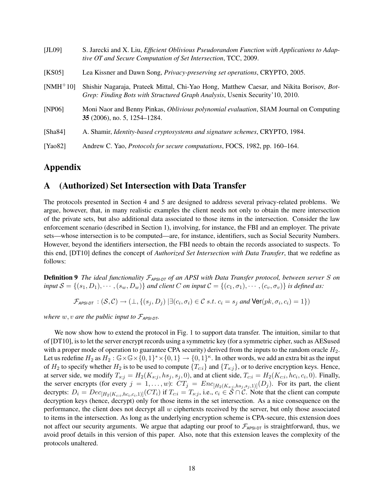| [JLO9]      | S. Jarecki and X. Liu, <i>Efficient Oblivious Pseudorandom Function with Applications to Adap-</i><br>tive OT and Secure Computation of Set Intersection, TCC, 2009.      |
|-------------|---------------------------------------------------------------------------------------------------------------------------------------------------------------------------|
| [KS05]      | Lea Kissner and Dawn Song, Privacy-preserving set operations, CRYPTO, 2005.                                                                                               |
| $[NMH+10]$  | Shishir Nagaraja, Prateek Mittal, Chi-Yao Hong, Matthew Caesar, and Nikita Borisov, Bot-<br>Grep: Finding Bots with Structured Graph Analysis, Usenix Security' 10, 2010. |
| [NP06]      | Moni Naor and Benny Pinkas, <i>Oblivious polynomial evaluation</i> , SIAM Journal on Computing<br><b>35</b> (2006), no. 5, 1254–1284.                                     |
| [Sha $84$ ] | A. Shamir, <i>Identity-based cryptosystems and signature schemes</i> , CRYPTO, 1984.                                                                                      |
| [Yao82]     | Andrew C. Yao, Protocols for secure computations, FOCS, 1982, pp. 160-164.                                                                                                |

# Appendix

# A (Authorized) Set Intersection with Data Transfer

The protocols presented in Section 4 and 5 are designed to address several privacy-related problems. We argue, however, that, in many realistic examples the client needs not only to obtain the mere intersection of the private sets, but also additional data associated to those items in the intersection. Consider the law enforcement scenario (described in Section 1), involving, for instance, the FBI and an employer. The private sets—whose intersection is to be computed—are, for instance, identifiers, such as Social Security Numbers. However, beyond the identifiers intersection, the FBI needs to obtain the records associated to suspects. To this end, [DT10] defines the concept of *Authorized Set Intersection with Data Transfer*, that we redefine as follows:

Definition 9 *The ideal functionality* F*APSI-DT of an APSI with Data Transfer protocol, between server* S *on input*  $S = \{(s_1, D_1), \cdots, (s_w, D_w)\}\$ and client C on input  $C = \{(c_1, \sigma_1), \cdots, (c_v, \sigma_v)\}\$ is defined as:

$$
\mathcal{F}_{\mathsf{APS} \sqcup \mathsf{DT}} : (\mathcal{S}, \mathcal{C}) \to (\bot, \{ (s_j, D_j) \mid \exists (c_i, \sigma_i) \in \mathcal{C} \text{ s.t. } c_i = s_j \text{ and } \mathsf{Ver}(pk, \sigma_i, c_i) = 1 \})
$$

*where*  $w, v$  *are the public input to*  $\mathcal{F}_{APSI-DT}$ *.* 

We now show how to extend the protocol in Fig. 1 to support data transfer. The intuition, similar to that of [DT10], is to let the server encrypt records using a symmetric key (for a symmetric cipher, such as AESused with a proper mode of operation to guarantee CPA security) derived from the inputs to the random oracle  $H_2$ . Let us redefine  $H_2$  as  $H_2$ :  $\mathbb{G}\times\mathbb{G}\times\{0,1\}^*\times\{0,1\}\to\{0,1\}^{\kappa}$ . In other words, we add an extra bit as the input of  $H_2$  to specify whether  $H_2$  is to be used to compute  $\{T_{c:i}\}\$  and  $\{T_{s:j}\}\$ , or to derive encryption keys. Hence, at server side, we modify  $T_{s:j} = H_2(K_{s:j}, hs_j, s_j, 0)$ , and at client side,  $T_{c:i} = H_2(K_{c:i}, hc_i, c_i, 0)$ . Finally, the server encrypts (for every  $j = 1, \ldots, w$ ):  $CT_j = Enc_{[H_2(K_{s:j}, hs_j, s_j, 1)]}(D_j)$ . For its part, the client decrypts:  $D_i = Dec_{[H_2(K_{ci},hc_i,c_i,1)]}(CT_i)$  if  $T_{ci} = T_{s:j}$ , i.e.,  $c_i \in \mathcal{S} \cap \mathcal{C}$ . Note that the client can compute decryption keys (hence, decrypt) only for those items in the set intersection. As a nice consequence on the performance, the client does not decrypt all  $w$  ciphertexts received by the server, but only those associated to items in the intersection. As long as the underlying encryption scheme is CPA-secure, this extension does not affect our security arguments. We argue that adapting our proof to  $\mathcal{F}_{APSL-DT}$  is straightforward, thus, we avoid proof details in this version of this paper. Also, note that this extension leaves the complexity of the protocols unaltered.